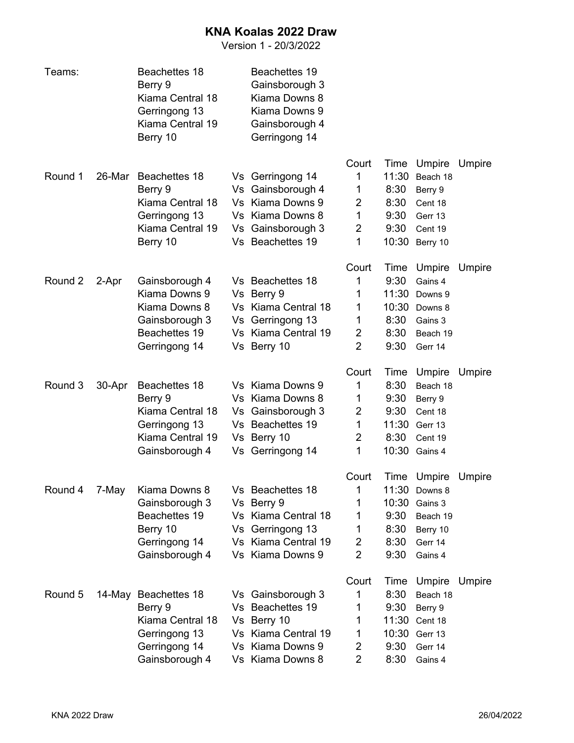## **KNA Koalas 2022 Draw**

Version 1 - 20/3/2022

| Teams:  |        | Beachettes 18<br>Berry 9<br>Kiama Central 18<br>Gerringong 13<br>Kiama Central 19<br>Berry 10           |    | Beachettes 19<br>Gainsborough 3<br>Kiama Downs 8<br>Kiama Downs 9<br>Gainsborough 4<br>Gerringong 14                   |                                                               |                                                        |                                                                                  |        |
|---------|--------|---------------------------------------------------------------------------------------------------------|----|------------------------------------------------------------------------------------------------------------------------|---------------------------------------------------------------|--------------------------------------------------------|----------------------------------------------------------------------------------|--------|
| Round 1 | 26-Mar | Beachettes 18<br>Berry 9<br>Kiama Central 18<br>Gerringong 13<br>Kiama Central 19<br>Berry 10           |    | Vs Gerringong 14<br>Vs Gainsborough 4<br>Vs Kiama Downs 9<br>Vs Kiama Downs 8<br>Vs Gainsborough 3<br>Vs Beachettes 19 | Court<br>1<br>1<br>2<br>1<br>$\overline{2}$<br>1              | Time<br>11:30<br>8:30<br>8:30<br>9:30<br>9:30<br>10:30 | Umpire<br>Beach 18<br>Berry 9<br>Cent 18<br>Gerr 13<br>Cent 19<br>Berry 10       | Umpire |
| Round 2 | 2-Apr  | Gainsborough 4<br>Kiama Downs 9<br>Kiama Downs 8<br>Gainsborough 3<br>Beachettes 19<br>Gerringong 14    |    | Vs Beachettes 18<br>Vs Berry 9<br>Vs Kiama Central 18<br>Vs Gerringong 13<br>Vs Kiama Central 19<br>Vs Berry 10        | Court<br>1<br>1<br>1<br>1<br>$\overline{2}$<br>$\overline{2}$ | Time<br>9:30<br>10:30<br>8:30<br>8:30<br>9:30          | Umpire<br>Gains 4<br>11:30 Downs 9<br>Downs 8<br>Gains 3<br>Beach 19<br>Gerr 14  | Umpire |
| Round 3 | 30-Apr | Beachettes 18<br>Berry 9<br>Kiama Central 18<br>Gerringong 13<br>Kiama Central 19<br>Gainsborough 4     | Vs | Vs Kiama Downs 9<br>Vs Kiama Downs 8<br>Gainsborough 3<br>Vs Beachettes 19<br>Vs Berry 10<br>Vs Gerringong 14          | Court<br>1<br>1<br>2<br>1<br>$\overline{\mathbf{c}}$<br>1     | Time<br>8:30<br>9:30<br>9:30<br>11:30<br>8:30<br>10:30 | Umpire<br>Beach 18<br>Berry 9<br>Cent 18<br>Gerr 13<br>Cent 19<br>Gains 4        | Umpire |
| Round 4 | 7-May  | Kiama Downs 8<br>Gainsborough 3<br>Beachettes 19<br>Berry 10<br>Gerringong 14<br>Gainsborough 4         |    | Vs Beachettes 18<br>Vs Berry 9<br>Vs Kiama Central 18<br>Vs Gerringong 13<br>Vs Kiama Central 19<br>Vs Kiama Downs 9   | Court<br>1<br>1<br>1<br>1<br>2<br>$\overline{2}$              | Time<br>10:30<br>9:30<br>8:30<br>8:30<br>9:30          | Umpire<br>11:30 Downs 8<br>Gains 3<br>Beach 19<br>Berry 10<br>Gerr 14<br>Gains 4 | Umpire |
| Round 5 |        | 14-May Beachettes 18<br>Berry 9<br>Kiama Central 18<br>Gerringong 13<br>Gerringong 14<br>Gainsborough 4 |    | Vs Gainsborough 3<br>Vs Beachettes 19<br>Vs Berry 10<br>Vs Kiama Central 19<br>Vs Kiama Downs 9<br>Vs Kiama Downs 8    | Court<br>1<br>1<br>1<br>1<br>$\overline{2}$<br>$\overline{2}$ | Time<br>8:30<br>9:30<br>11:30<br>10:30<br>9:30<br>8:30 | Umpire Umpire<br>Beach 18<br>Berry 9<br>Cent 18<br>Gerr 13<br>Gerr 14<br>Gains 4 |        |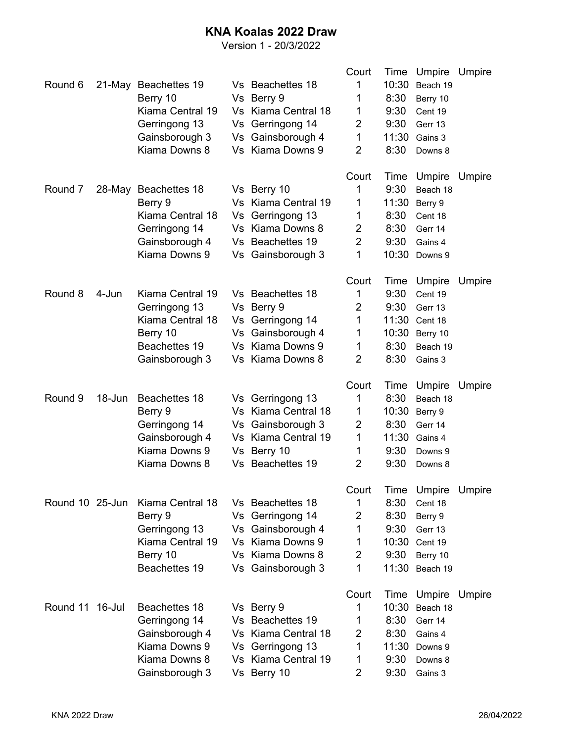## **KNA Koalas 2022 Draw**

Version 1 - 20/3/2022

|                 |            |                  |    |                     | Court          | Time  | Umpire   | Umpire |
|-----------------|------------|------------------|----|---------------------|----------------|-------|----------|--------|
| Round 6         | 21-May     | Beachettes 19    |    | Vs Beachettes 18    | 1              | 10:30 | Beach 19 |        |
|                 |            | Berry 10         |    | Vs Berry 9          | 1              | 8:30  | Berry 10 |        |
|                 |            | Kiama Central 19 |    | Vs Kiama Central 18 | 1              | 9:30  | Cent 19  |        |
|                 |            | Gerringong 13    | Vs | Gerringong 14       | $\overline{2}$ | 9:30  | Gerr 13  |        |
|                 |            | Gainsborough 3   |    | Vs Gainsborough 4   | 1              | 11:30 | Gains 3  |        |
|                 |            | Kiama Downs 8    |    | Vs Kiama Downs 9    | $\overline{2}$ | 8:30  | Downs 8  |        |
|                 |            |                  |    |                     | Court          | Time  | Umpire   | Umpire |
| Round 7         | 28-May     | Beachettes 18    |    | Vs Berry 10         | 1              | 9:30  | Beach 18 |        |
|                 |            | Berry 9          |    | Vs Kiama Central 19 | 1              | 11:30 | Berry 9  |        |
|                 |            | Kiama Central 18 |    | Vs Gerringong 13    | 1              | 8:30  | Cent 18  |        |
|                 |            | Gerringong 14    |    | Vs Kiama Downs 8    | 2              | 8:30  | Gerr 14  |        |
|                 |            | Gainsborough 4   |    | Vs Beachettes 19    | $\overline{2}$ | 9:30  | Gains 4  |        |
|                 |            | Kiama Downs 9    |    | Vs Gainsborough 3   | 1              | 10:30 | Downs 9  |        |
|                 |            |                  |    |                     |                |       |          |        |
|                 |            |                  |    |                     | Court          | Time  | Umpire   | Umpire |
| Round 8         | 4-Jun      | Kiama Central 19 |    | Vs Beachettes 18    | 1              | 9:30  | Cent 19  |        |
|                 |            | Gerringong 13    |    | Vs Berry 9          | 2              | 9:30  | Gerr 13  |        |
|                 |            | Kiama Central 18 | Vs | Gerringong 14       | $\mathbf 1$    | 11:30 | Cent 18  |        |
|                 |            | Berry 10         |    | Vs Gainsborough 4   | 1              | 10:30 | Berry 10 |        |
|                 |            | Beachettes 19    |    | Vs Kiama Downs 9    | 1              | 8:30  | Beach 19 |        |
|                 |            | Gainsborough 3   |    | Vs Kiama Downs 8    | $\overline{2}$ | 8:30  | Gains 3  |        |
|                 |            |                  |    |                     | Court          | Time  | Umpire   | Umpire |
| Round 9         | $18 - Jun$ | Beachettes 18    |    | Vs Gerringong 13    | 1              | 8:30  | Beach 18 |        |
|                 |            | Berry 9          |    | Vs Kiama Central 18 | 1              | 10:30 | Berry 9  |        |
|                 |            | Gerringong 14    |    | Vs Gainsborough 3   | 2              | 8:30  | Gerr 14  |        |
|                 |            | Gainsborough 4   |    | Vs Kiama Central 19 | 1              | 11:30 | Gains 4  |        |
|                 |            | Kiama Downs 9    |    | Vs Berry 10         | 1              | 9:30  | Downs 9  |        |
|                 |            | Kiama Downs 8    |    | Vs Beachettes 19    | $\overline{2}$ | 9:30  | Downs 8  |        |
|                 |            |                  |    |                     | Court          | Time  | Umpire   | Umpire |
| Round 10 25-Jun |            | Kiama Central 18 |    | Vs Beachettes 18    | 1              | 8:30  | Cent 18  |        |
|                 |            | Berry 9          |    | Vs Gerringong 14    | 2              | 8:30  | Berry 9  |        |
|                 |            | Gerringong 13    |    | Vs Gainsborough 4   | 1              | 9:30  | Gerr 13  |        |
|                 |            | Kiama Central 19 |    | Vs Kiama Downs 9    | 1              | 10:30 | Cent 19  |        |
|                 |            | Berry 10         |    | Vs Kiama Downs 8    | $\overline{2}$ | 9:30  |          |        |
|                 |            | Beachettes 19    |    |                     | 1              | 11:30 | Berry 10 |        |
|                 |            |                  |    | Vs Gainsborough 3   |                |       | Beach 19 |        |
|                 |            |                  |    |                     | Court          | Time  | Umpire   | Umpire |
| Round 11 16-Jul |            | Beachettes 18    |    | Vs Berry 9          | 1              | 10:30 | Beach 18 |        |
|                 |            | Gerringong 14    |    | Vs Beachettes 19    | 1              | 8:30  | Gerr 14  |        |
|                 |            | Gainsborough 4   |    | Vs Kiama Central 18 | $\overline{2}$ | 8:30  | Gains 4  |        |
|                 |            | Kiama Downs 9    |    | Vs Gerringong 13    | 1              | 11:30 | Downs 9  |        |
|                 |            | Kiama Downs 8    |    | Vs Kiama Central 19 | 1              | 9:30  | Downs 8  |        |
|                 |            | Gainsborough 3   |    | Vs Berry 10         | 2              | 9:30  | Gains 3  |        |